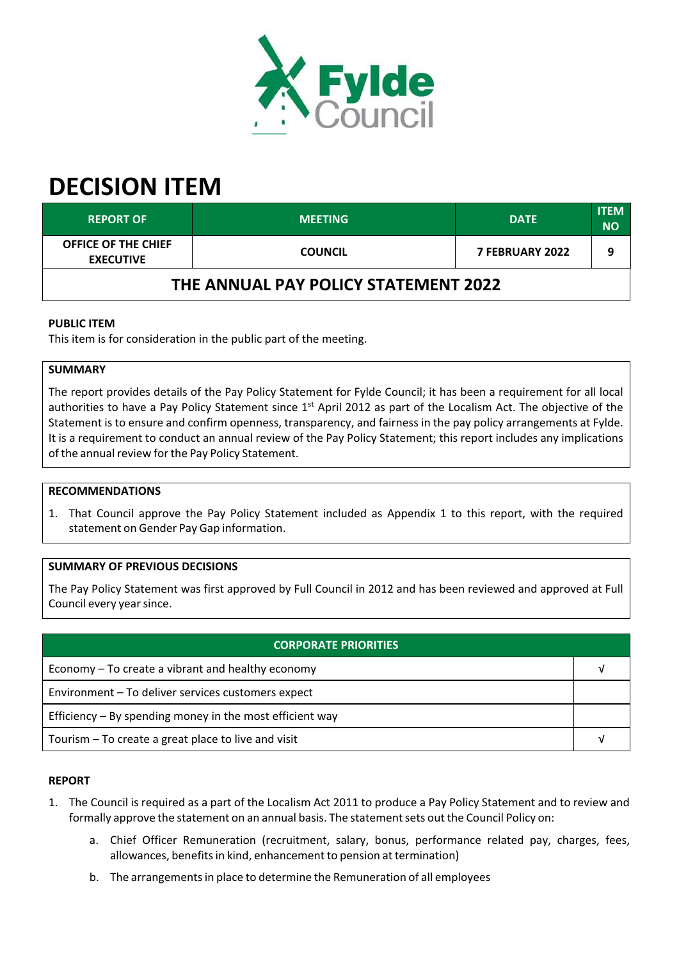

# **DECISION ITEM**

| <b>REPORT OF</b>                        | <b>MEETING</b> | <b>DATE</b>            | <b>ITEM</b><br><b>NO</b> |  |  |
|-----------------------------------------|----------------|------------------------|--------------------------|--|--|
| OFFICE OF THE CHIEF<br><b>EXECUTIVE</b> | <b>COUNCIL</b> | <b>7 FEBRUARY 2022</b> |                          |  |  |
| THE ANNUAL PAY POLICY STATEMENT 2022    |                |                        |                          |  |  |

## **PUBLIC ITEM**

This item is for consideration in the public part of the meeting.

# **SUMMARY**

The report provides details of the Pay Policy Statement for Fylde Council; it has been a requirement for all local authorities to have a Pay Policy Statement since 1<sup>st</sup> April 2012 as part of the Localism Act. The objective of the Statement is to ensure and confirm openness, transparency, and fairness in the pay policy arrangements at Fylde. It is a requirement to conduct an annual review of the Pay Policy Statement; this report includes any implications of the annual review for the Pay Policy Statement.

#### **RECOMMENDATIONS**

1. That Council approve the Pay Policy Statement included as Appendix 1 to this report, with the required statement on Gender Pay Gap information.

## **SUMMARY OF PREVIOUS DECISIONS**

The Pay Policy Statement was first approved by Full Council in 2012 and has been reviewed and approved at Full Council every yearsince.

| <b>CORPORATE PRIORITIES</b>                                |  |  |
|------------------------------------------------------------|--|--|
| Economy – To create a vibrant and healthy economy          |  |  |
| Environment - To deliver services customers expect         |  |  |
| Efficiency $-$ By spending money in the most efficient way |  |  |
| Tourism – To create a great place to live and visit        |  |  |

## **REPORT**

- 1. The Council is required as a part of the Localism Act 2011 to produce a Pay Policy Statement and to review and formally approve the statement on an annual basis. The statement sets out the Council Policy on:
	- a. Chief Officer Remuneration (recruitment, salary, bonus, performance related pay, charges, fees, allowances, benefits in kind, enhancement to pension at termination)
	- b. The arrangements in place to determine the Remuneration of all employees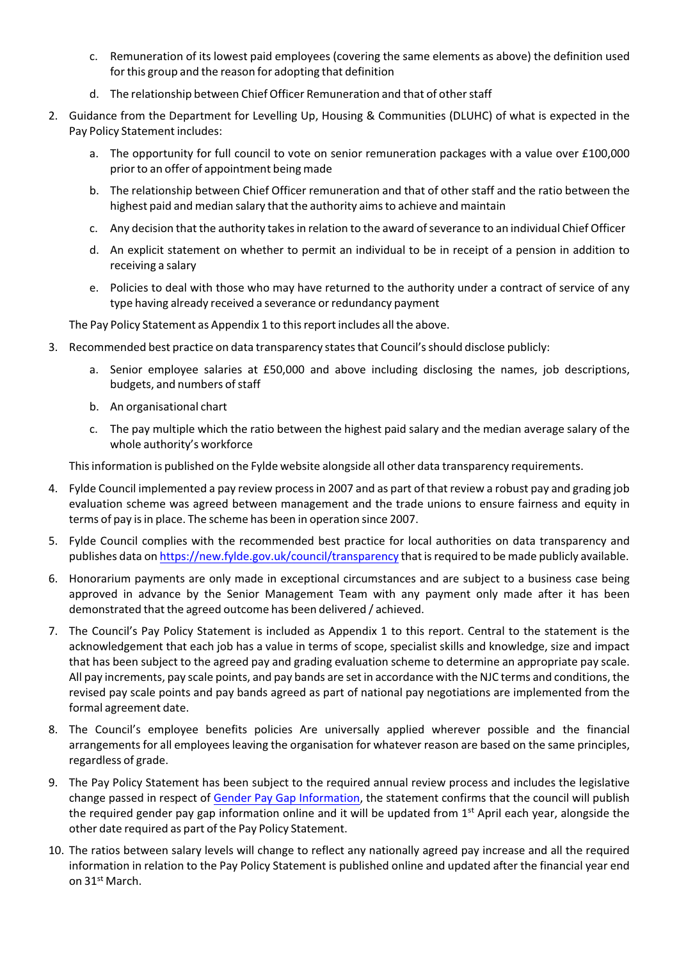- c. Remuneration of its lowest paid employees (covering the same elements as above) the definition used for this group and the reason for adopting that definition
- d. The relationship between Chief Officer Remuneration and that of otherstaff
- 2. Guidance from the Department for Levelling Up, Housing & Communities (DLUHC) of what is expected in the Pay Policy Statement includes:
	- a. The opportunity for full council to vote on senior remuneration packages with a value over £100,000 priorto an offer of appointment being made
	- b. The relationship between Chief Officer remuneration and that of other staff and the ratio between the highest paid and median salary that the authority aims to achieve and maintain
	- c. Any decision that the authority takesin relation to the award ofseverance to an individual Chief Officer
	- d. An explicit statement on whether to permit an individual to be in receipt of a pension in addition to receiving a salary
	- e. Policies to deal with those who may have returned to the authority under a contract of service of any type having already received a severance or redundancy payment

The Pay Policy Statement as Appendix 1 to this report includes all the above.

- 3. Recommended best practice on data transparency states that Council's should disclose publicly:
	- a. Senior employee salaries at £50,000 and above including disclosing the names, job descriptions, budgets, and numbers of staff
	- b. An organisational chart
	- c. The pay multiple which the ratio between the highest paid salary and the median average salary of the whole authority's workforce

This information is published on the Fylde website alongside all other data transparency requirements.

- 4. Fylde Council implemented a pay review processin 2007 and as part of that review a robust pay and grading job evaluation scheme was agreed between management and the trade unions to ensure fairness and equity in terms of pay is in place. The scheme has been in operation since 2007.
- 5. Fylde Council complies with the recommended best practice for local authorities on data transparency and publishes data on <https://new.fylde.gov.uk/council/transparency> that isrequired to be made publicly available.
- 6. Honorarium payments are only made in exceptional circumstances and are subject to a business case being approved in advance by the Senior Management Team with any payment only made after it has been demonstrated that the agreed outcome has been delivered / achieved.
- 7. The Council's Pay Policy Statement is included as Appendix 1 to this report. Central to the statement is the acknowledgement that each job has a value in terms of scope, specialist skills and knowledge, size and impact that has been subject to the agreed pay and grading evaluation scheme to determine an appropriate pay scale. All pay increments, pay scale points, and pay bands are set in accordance with the NJC terms and conditions, the revised pay scale points and pay bands agreed as part of national pay negotiations are implemented from the formal agreement date.
- 8. The Council's employee benefits policies Are universally applied wherever possible and the financial arrangements for all employees leaving the organisation for whatever reason are based on the same principles, regardless of grade.
- 9. The Pay Policy Statement has been subject to the required annual review process and includes the legislative change passed in respect of Gender Pay Gap [Information,](https://www.gov.uk/government/news/gender-pay-gap-reporting) the statement confirms that the council will publish the required gender pay gap information online and it will be updated from 1<sup>st</sup> April each year, alongside the other date required as part of the Pay Policy Statement.
- 10. The ratios between salary levels will change to reflect any nationally agreed pay increase and all the required information in relation to the Pay Policy Statement is published online and updated after the financial year end on 31<sup>st</sup> March.